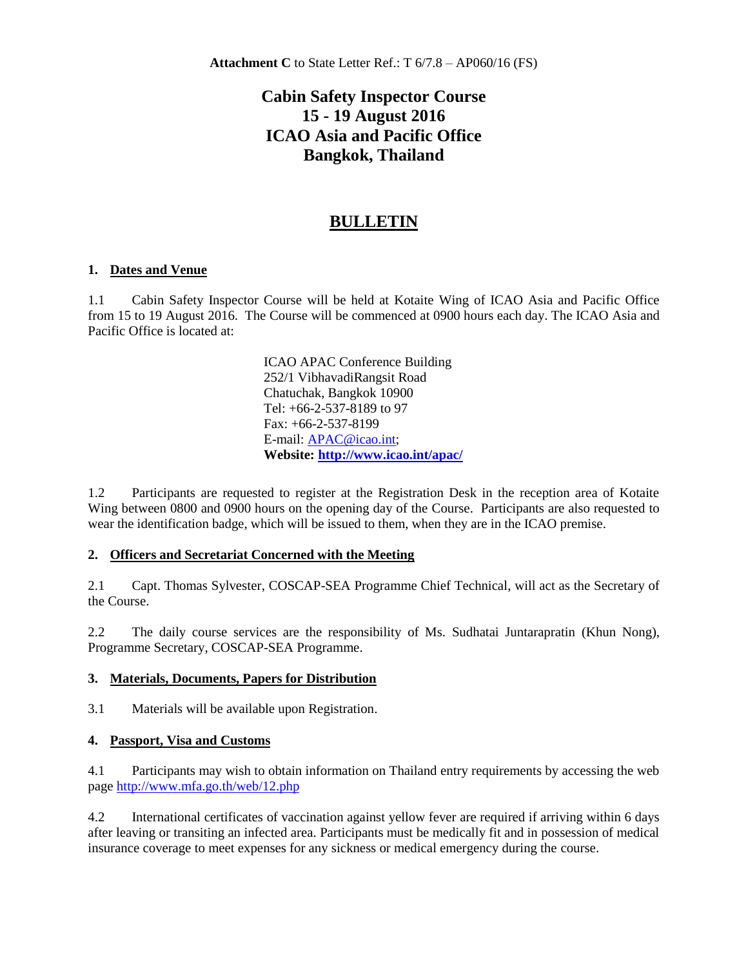# **Cabin Safety Inspector Course 15 - 19 August 2016 ICAO Asia and Pacific Office Bangkok, Thailand**

# **BULLETIN**

## **1. Dates and Venue**

1.1 Cabin Safety Inspector Course will be held at Kotaite Wing of ICAO Asia and Pacific Office from 15 to 19 August 2016. The Course will be commenced at 0900 hours each day. The ICAO Asia and Pacific Office is located at:

> ICAO APAC Conference Building 252/1 VibhavadiRangsit Road Chatuchak, Bangkok 10900 Tel: +66-2-537-8189 to 97 Fax: +66-2-537-8199 E-mail[: APAC@icao.int;](mailto:APAC@icao.int) **Website: <http://www.icao.int/apac/>**

1.2 Participants are requested to register at the Registration Desk in the reception area of Kotaite Wing between 0800 and 0900 hours on the opening day of the Course. Participants are also requested to wear the identification badge, which will be issued to them, when they are in the ICAO premise.

#### **2. Officers and Secretariat Concerned with the Meeting**

2.1 Capt. Thomas Sylvester, COSCAP-SEA Programme Chief Technical, will act as the Secretary of the Course.

2.2 The daily course services are the responsibility of Ms. Sudhatai Juntarapratin (Khun Nong), Programme Secretary, COSCAP-SEA Programme.

#### **3. Materials, Documents, Papers for Distribution**

3.1 Materials will be available upon Registration.

#### **4. Passport, Visa and Customs**

4.1 Participants may wish to obtain information on Thailand entry requirements by accessing the web page<http://www.mfa.go.th/web/12.php>

4.2 International certificates of vaccination against yellow fever are required if arriving within 6 days after leaving or transiting an infected area. Participants must be medically fit and in possession of medical insurance coverage to meet expenses for any sickness or medical emergency during the course.